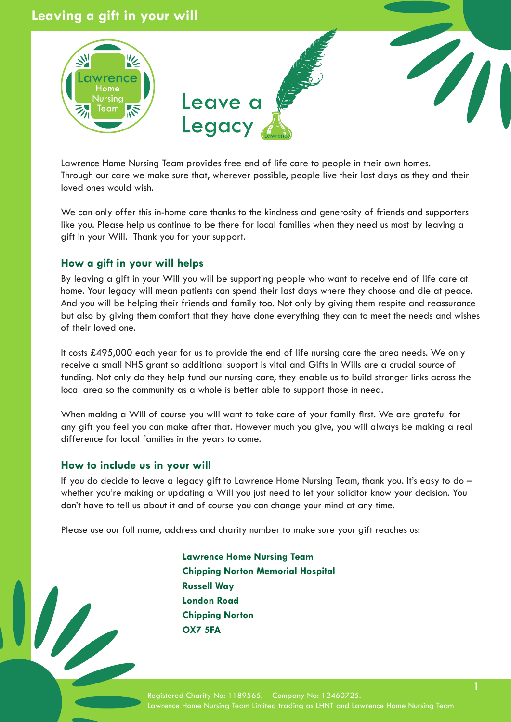

Lawrence Home Nursing Team provides free end of life care to people in their own homes. Through our care we make sure that, wherever possible, people live their last days as they and their loved ones would wish.

We can only offer this in-home care thanks to the kindness and generosity of friends and supporters like you. Please help us continue to be there for local families when they need us most by leaving a gift in your Will. Thank you for your support.

# **How a gift in your will helps**

By leaving a gift in your Will you will be supporting people who want to receive end of life care at home. Your legacy will mean patients can spend their last days where they choose and die at peace. And you will be helping their friends and family too. Not only by giving them respite and reassurance but also by giving them comfort that they have done everything they can to meet the needs and wishes of their loved one.

It costs £495,000 each year for us to provide the end of life nursing care the area needs. We only receive a small NHS grant so additional support is vital and Gifts in Wills are a crucial source of funding. Not only do they help fund our nursing care, they enable us to build stronger links across the local area so the community as a whole is better able to support those in need.

When making a Will of course you will want to take care of your family first. We are grateful for any gift you feel you can make after that. However much you give, you will always be making a real difference for local families in the years to come.

# **How to include us in your will**

If you do decide to leave a legacy gift to Lawrence Home Nursing Team, thank you. It's easy to do – whether you're making or updating a Will you just need to let your solicitor know your decision. You don't have to tell us about it and of course you can change your mind at any time.

Please use our full name, address and charity number to make sure your gift reaches us:

**Lawrence Home Nursing Team Chipping Norton Memorial Hospital Russell Way London Road Chipping Norton OX7 5FA**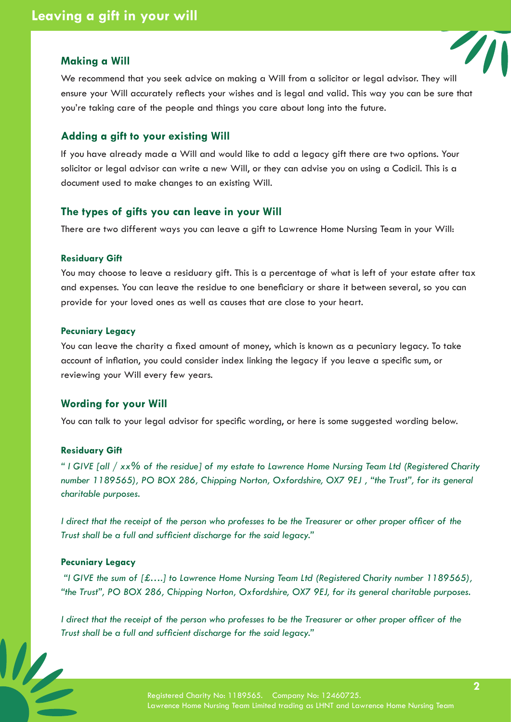# **Making a Will**



We recommend that you seek advice on making a Will from a solicitor or legal advisor. They will ensure your Will accurately reflects your wishes and is legal and valid. This way you can be sure that you're taking care of the people and things you care about long into the future.

# **Adding a gift to your existing Will**

If you have already made a Will and would like to add a legacy gift there are two options. Your solicitor or legal advisor can write a new Will, or they can advise you on using a Codicil. This is a document used to make changes to an existing Will.

# **The types of gifts you can leave in your Will**

There are two different ways you can leave a gift to Lawrence Home Nursing Team in your Will:

#### **Residuary Gift**

You may choose to leave a residuary gift. This is a percentage of what is left of your estate after tax and expenses. You can leave the residue to one beneficiary or share it between several, so you can provide for your loved ones as well as causes that are close to your heart.

### **Pecuniary Legacy**

You can leave the charity a fixed amount of money, which is known as a pecuniary legacy. To take account of inflation, you could consider index linking the legacy if you leave a specific sum, or reviewing your Will every few years.

### **Wording for your Will**

You can talk to your legal advisor for specific wording, or here is some suggested wording below.

### **Residuary Gift**

*" I GIVE [all / xx% of the residue] of my estate to Lawrence Home Nursing Team Ltd (Registered Charity number 1189565), PO BOX 286, Chipping Norton, Oxfordshire, OX7 9EJ , "the Trust", for its general charitable purposes.*

*I direct that the receipt of the person who professes to be the Treasurer or other proper officer of the Trust shall be a full and sufficient discharge for the said legacy."*

### **Pecuniary Legacy**

 *"I GIVE the sum of [£….] to Lawrence Home Nursing Team Ltd (Registered Charity number 1189565), "the Trust", PO BOX 286, Chipping Norton, Oxfordshire, OX7 9EJ, for its general charitable purposes.*

*I direct that the receipt of the person who professes to be the Treasurer or other proper officer of the Trust shall be a full and sufficient discharge for the said legacy."*